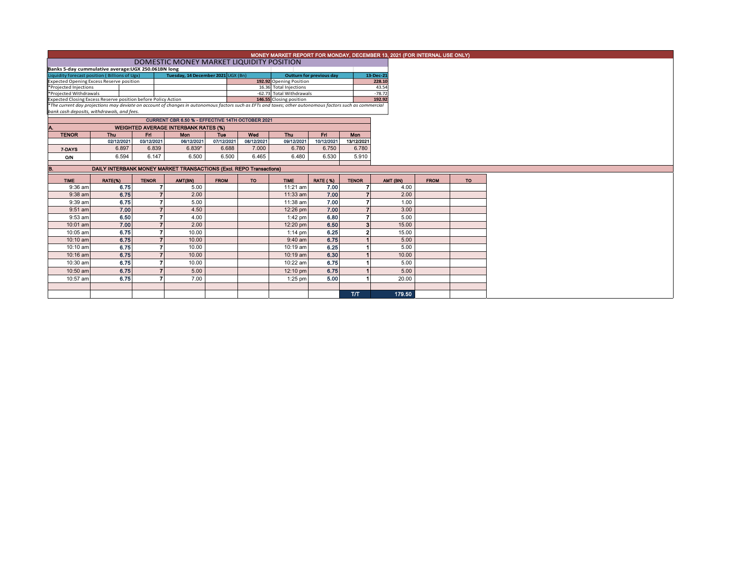| MONEY MARKET REPORT FOR MONDAY, DECEMBER 13, 2021 (FOR INTERNAL USE ONLY) |  |
|---------------------------------------------------------------------------|--|
|---------------------------------------------------------------------------|--|

**DOMESTIC MONEY MARKET LIQUIDITY POSITION** 

| Banks 5-day cummulative average: UGX 250.061BN long                                                                                                      |  |                                    |  |                          |           |          |  |  |
|----------------------------------------------------------------------------------------------------------------------------------------------------------|--|------------------------------------|--|--------------------------|-----------|----------|--|--|
| Liquidity forecast position (Billions of Ugx)                                                                                                            |  | Tuesday, 14 December 2021 UGX (Bn) |  | Outturn for previous day | 13-Dec-21 |          |  |  |
| <b>Expected Opening Excess Reserve position</b>                                                                                                          |  |                                    |  | 192.92 Opening Position  |           | 228.10   |  |  |
| *Projected Injections                                                                                                                                    |  |                                    |  | 16.36 Total Injections   |           | 43.54    |  |  |
| *Projected Withdrawals                                                                                                                                   |  |                                    |  | -62.73 Total Withdrawals |           | $-78.72$ |  |  |
| 192.92<br>Expected Closing Excess Reserve position before Policy Action<br>146.55 Closing position                                                       |  |                                    |  |                          |           |          |  |  |
| *The current day projections may deviate on account of changes in autonomous factors such as EFTs and taxes; other autonomous factors such as commercial |  |                                    |  |                          |           |          |  |  |

*bank cash deposits, withdrawals, and fees.*

| CURRENT CBR 6.50 % - EFFECTIVE 14TH OCTOBER 2021  |                                                                           |            |            |            |            |            |            |            |  |  |  |  |  |
|---------------------------------------------------|---------------------------------------------------------------------------|------------|------------|------------|------------|------------|------------|------------|--|--|--|--|--|
| A.<br><b>WEIGHTED AVERAGE INTERBANK RATES (%)</b> |                                                                           |            |            |            |            |            |            |            |  |  |  |  |  |
| <b>TENOR</b>                                      | Wed<br><b>Thu</b><br><b>Thu</b><br><b>Mon</b><br><b>Fri</b><br>Fri<br>Tue |            |            |            |            |            |            |            |  |  |  |  |  |
|                                                   | 02/12/2021                                                                | 03/12/2021 | 06/12/2021 | 07/12/2021 | 08/12/2021 | 09/12/2021 | 10/12/2021 | 13/12/2021 |  |  |  |  |  |
| 7-DAYS                                            | 6.897                                                                     | 6.839      | $6.839*$   | 6.688      | 7.000      | 6.780      | 6.750      | 6.780      |  |  |  |  |  |
| O/N                                               | 6.594                                                                     | 6.147      | 6.500      | 6.500      | 6.465      | 6.480      | 6.530      | 5.910      |  |  |  |  |  |
|                                                   |                                                                           |            |            |            |            |            |            |            |  |  |  |  |  |

## B. DAILY INTERBANK MONEY MARKET TRANSACTIONS (Excl. REPO Transactions)

| <b>TIME</b> | RATE(%) | <b>TENOR</b> | AMT(BN) | <b>FROM</b> | <b>TO</b> | <b>TIME</b> | <b>RATE (%)</b> | <b>TENOR</b> | AMT (BN) | <b>FROM</b> | <b>TO</b> |
|-------------|---------|--------------|---------|-------------|-----------|-------------|-----------------|--------------|----------|-------------|-----------|
| $9:36$ am   | 6.75    |              | 5.00    |             |           | 11:21 am    | 7.00            |              | 4.00     |             |           |
| $9:38$ am   | 6.75    |              | 2.00    |             |           | $11:33$ am  | 7.00            | 7            | 2.00     |             |           |
| $9:39$ am   | 6.75    |              | 5.00    |             |           | 11:38 am    | 7.00            |              | 1.00     |             |           |
| $9:51$ am   | 7.00    |              | 4.50    |             |           | 12:26 pm    | 7.00            |              | 3.00     |             |           |
| $9:53$ am   | 6.50    |              | 4.00    |             |           | 1:42 pm     | 6.80            |              | 5.00     |             |           |
| $10:01$ am  | 7.00    |              | 2.00    |             |           | $12:20$ pm  | 6.50            | 3            | 15.00    |             |           |
| 10:05 am    | 6.75    |              | 10.00   |             |           | $1:14$ pm   | 6.25            | 2            | 15.00    |             |           |
| $10:10$ am  | 6.75    |              | 10.00   |             |           | $9:40$ am   | 6.75            |              | 5.00     |             |           |
| 10:10 am    | 6.75    |              | 10.00   |             |           | $10:19$ am  | 6.25            |              | 5.00     |             |           |
| 10:16 am    | 6.75    |              | 10.00   |             |           | $10:19$ am  | 6.30            |              | 10.00    |             |           |
| 10:30 am    | 6.75    |              | 10.00   |             |           | 10:22 am    | 6.75            |              | 5.00     |             |           |
| $10:50$ am  | 6.75    |              | 5.00    |             |           | 12:10 pm    | 6.75            |              | 5.00     |             |           |
| 10:57 am    | 6.75    |              | 7.00    |             |           | $1:25$ pm   | 5.00            |              | 20.00    |             |           |
|             |         |              |         |             |           |             |                 |              |          |             |           |
|             |         |              |         |             |           |             |                 | <b>T/T</b>   | 179.50   |             |           |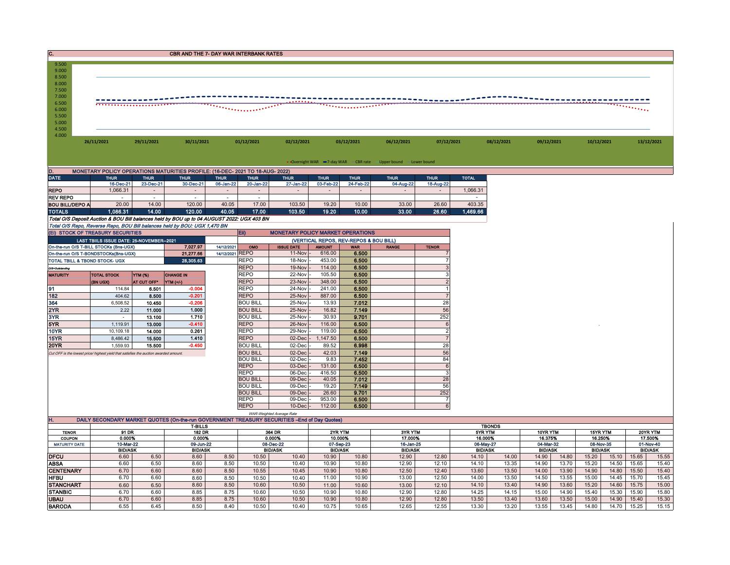| C.<br>CBR AND THE 7- DAY WAR INTERBANK RATES                                                                                                                                                                                                                                                                        |                                                                                                          |  |  |  |  |  |  |  |  |  |  |  |
|---------------------------------------------------------------------------------------------------------------------------------------------------------------------------------------------------------------------------------------------------------------------------------------------------------------------|----------------------------------------------------------------------------------------------------------|--|--|--|--|--|--|--|--|--|--|--|
| 9.500<br>9.000<br>8.500                                                                                                                                                                                                                                                                                             |                                                                                                          |  |  |  |  |  |  |  |  |  |  |  |
| 8.000<br>7.500                                                                                                                                                                                                                                                                                                      |                                                                                                          |  |  |  |  |  |  |  |  |  |  |  |
| 7.000                                                                                                                                                                                                                                                                                                               |                                                                                                          |  |  |  |  |  |  |  |  |  |  |  |
| 6.500<br>6.000                                                                                                                                                                                                                                                                                                      |                                                                                                          |  |  |  |  |  |  |  |  |  |  |  |
| 5.500<br>5.000                                                                                                                                                                                                                                                                                                      |                                                                                                          |  |  |  |  |  |  |  |  |  |  |  |
| 4.500                                                                                                                                                                                                                                                                                                               |                                                                                                          |  |  |  |  |  |  |  |  |  |  |  |
| 4.000<br>26/11/2021<br>29/11/2021<br>30/11/2021<br>01/12/2021<br>02/12/2021<br>03/12/2021<br>06/12/2021<br>07/12/2021<br>08/12/2021                                                                                                                                                                                 | 09/12/2021<br>10/12/2021<br>13/12/2021                                                                   |  |  |  |  |  |  |  |  |  |  |  |
|                                                                                                                                                                                                                                                                                                                     |                                                                                                          |  |  |  |  |  |  |  |  |  |  |  |
| • Overnight WAR -7-day WAR CBR rate -Upper bound -Lower bound                                                                                                                                                                                                                                                       |                                                                                                          |  |  |  |  |  |  |  |  |  |  |  |
| MONETARY POLICY OPERATIONS MATURITIES PROFILE: (16-DEC- 2021 TO 18-AUG- 2022)<br>D.                                                                                                                                                                                                                                 |                                                                                                          |  |  |  |  |  |  |  |  |  |  |  |
| <b>DATE</b><br><b>TOTAL</b><br><b>THUR</b><br><b>THUR</b><br><b>THUR</b><br><b>THUR</b><br><b>THUR</b><br><b>THUR</b><br><b>THUR</b><br><b>THUR</b><br><b>THUR</b><br><b>THUR</b><br>16-Dec-21<br>23-Dec-21<br>06-Jan-22<br>27-Jan-22<br>03-Feb-22<br>24-Feb-22<br>04-Aug-22<br>30-Dec-21<br>20-Jan-22<br>18-Aug-22 |                                                                                                          |  |  |  |  |  |  |  |  |  |  |  |
| <b>REPO</b><br>1,066.31<br>1,066.31                                                                                                                                                                                                                                                                                 |                                                                                                          |  |  |  |  |  |  |  |  |  |  |  |
| <b>REV REPO</b><br>$\sim$<br>$\sim$<br>$\sim$<br>$\sim$<br>$\sim$<br>$\sim$<br>17.00<br><b>BOU BILL/DEPO A</b><br>20.00<br>14.00<br>120.00<br>40.05<br>103.50<br>19.20<br>10.00<br>33.00<br>26.60<br>403.35                                                                                                         |                                                                                                          |  |  |  |  |  |  |  |  |  |  |  |
| 14.00<br>103.50<br>19.20<br>26.60<br><b>TOTALS</b><br>1,086.31<br>120.00<br>40.05<br>17.00<br>10.00<br>33.00<br>1,469.66                                                                                                                                                                                            |                                                                                                          |  |  |  |  |  |  |  |  |  |  |  |
| Total O/S Deposit Auction & BOU Bill balances held by BOU up to 04 AUGUST 2022: UGX 403 BN                                                                                                                                                                                                                          |                                                                                                          |  |  |  |  |  |  |  |  |  |  |  |
| Total O/S Repo, Reverse Repo, BOU Bill balances held by BOU: UGX 1,470 BN<br><b>MONETARY POLICY MARKET OPERATIONS</b><br>(EI) STOCK OF TREASURY SECURITIES<br>Eii)                                                                                                                                                  |                                                                                                          |  |  |  |  |  |  |  |  |  |  |  |
| LAST TBIILS ISSUE DATE: 25-NOVEMBER--2021<br>(VERTICAL REPOS, REV-REPOS & BOU BILL)                                                                                                                                                                                                                                 |                                                                                                          |  |  |  |  |  |  |  |  |  |  |  |
| 7,027.97<br>On-the-run O/S T-BILL STOCKs (Bns-UGX)<br>14/12/2021<br><b>ISSUE DATE</b><br><b>AMOUNT</b><br>OMO<br><b>WAR</b><br><b>RANGE</b><br><b>TENOR</b>                                                                                                                                                         |                                                                                                          |  |  |  |  |  |  |  |  |  |  |  |
| 21,277.66<br>14/12/2021 REPO<br>616.00<br>6.500<br>11-Nov<br>On-the-run O/S T-BONDSTOCKs(Bns-UGX)<br><b>TOTAL TBILL &amp; TBOND STOCK- UGX</b><br>28,305.63<br><b>REPO</b><br>18-Nov<br>453.00<br>6.500                                                                                                             |                                                                                                          |  |  |  |  |  |  |  |  |  |  |  |
| 6.500<br><b>REPO</b><br>114.00<br>19-Nov<br>O/S=Outstanding                                                                                                                                                                                                                                                         |                                                                                                          |  |  |  |  |  |  |  |  |  |  |  |
| <b>REPO</b><br>22-Nov<br>105.50<br>6.500<br><b>MATURITY</b><br><b>YTM (%)</b><br><b>CHANGE IN</b><br><b>TOTAL STOCK</b>                                                                                                                                                                                             |                                                                                                          |  |  |  |  |  |  |  |  |  |  |  |
| <b>REPO</b><br>348.00<br>6.500<br>$\overline{2}$<br>23-Nov<br>AT CUT OFF*<br>(BN UGX)<br>YTM (+/-)<br>91<br><b>REPO</b><br>241.00<br>$-0.004$<br>24-Nov<br>6.500<br>114.84<br>6.501                                                                                                                                 |                                                                                                          |  |  |  |  |  |  |  |  |  |  |  |
| 182<br>$-0.201$<br><b>REPO</b><br>887.00<br>6.500<br>404.62<br>8.500<br>25-Nov<br>$\overline{7}$                                                                                                                                                                                                                    |                                                                                                          |  |  |  |  |  |  |  |  |  |  |  |
| 364<br>$-0.206$<br><b>BOU BILL</b><br>13.93<br>7.012<br>28<br>6,508.52<br>25-Nov<br>10.450                                                                                                                                                                                                                          |                                                                                                          |  |  |  |  |  |  |  |  |  |  |  |
| 2YR<br>1.000<br><b>BOU BILL</b><br>25-Nov<br>16.82<br>7.149<br>56<br>2.22<br>11.000<br>252<br>3YR<br>1.710<br><b>BOU BILL</b><br>30.93<br>9.701<br>25-Nov<br>13.100<br>$\sim$                                                                                                                                       |                                                                                                          |  |  |  |  |  |  |  |  |  |  |  |
| 5YR<br>$-0.410$<br>6.500<br>1,119.91<br>13.000<br><b>REPO</b><br>26-Nov<br>116.00<br>6                                                                                                                                                                                                                              |                                                                                                          |  |  |  |  |  |  |  |  |  |  |  |
| 10YR<br>0.261<br><b>REPO</b><br>119.00<br>6.500<br>$\overline{2}$<br>10,109.18<br>14.000<br>29-Nov                                                                                                                                                                                                                  |                                                                                                          |  |  |  |  |  |  |  |  |  |  |  |
| 15YR<br>1.410<br><b>REPO</b><br>02-Dec<br>1,147.50<br>6.500<br>$\overline{7}$<br>8,486.42<br>15.500<br><b>20YR</b><br>$-0.450$<br><b>BOU BILL</b><br>02-Dec<br>89.52<br>6.998<br>28                                                                                                                                 |                                                                                                          |  |  |  |  |  |  |  |  |  |  |  |
| 1,559.93<br>15,500<br><b>BOU BILL</b><br>56<br>02-Dec<br>42.03<br>7.149<br>Cut OFF is the lowest price/ highest yield that satisfies the auction awarded amount.                                                                                                                                                    |                                                                                                          |  |  |  |  |  |  |  |  |  |  |  |
| <b>BOU BILL</b><br>02-Dec<br>9.83<br>7.452<br>84                                                                                                                                                                                                                                                                    |                                                                                                          |  |  |  |  |  |  |  |  |  |  |  |
| <b>REPO</b><br>$03-Dec$<br>131.00<br>6.500<br>6<br><b>REPO</b><br>06-Dec<br>416.50<br>6.500<br>3                                                                                                                                                                                                                    |                                                                                                          |  |  |  |  |  |  |  |  |  |  |  |
| <b>BOU BILL</b><br>09-Dec<br>40.05<br>7.012<br>28                                                                                                                                                                                                                                                                   |                                                                                                          |  |  |  |  |  |  |  |  |  |  |  |
| <b>BOU BILL</b><br>09-Dec<br>19.20<br>7.149<br>56                                                                                                                                                                                                                                                                   |                                                                                                          |  |  |  |  |  |  |  |  |  |  |  |
| 252<br><b>BOU BILL</b><br>9.701<br>09-Dec<br>26.60<br><b>REPO</b><br>09-Dec<br>953.00<br>6.500                                                                                                                                                                                                                      |                                                                                                          |  |  |  |  |  |  |  |  |  |  |  |
| <b>REPO</b><br>$10$ -Dec<br>112.00<br>6.500<br>6                                                                                                                                                                                                                                                                    |                                                                                                          |  |  |  |  |  |  |  |  |  |  |  |
| WAR-Weighted Average Rate<br>Ή.<br>DAILY SECONDARY MARKET QUOTES (On-the-run GOVERNMENT TREASURY SECURITIES -End of Day Quotes)                                                                                                                                                                                     |                                                                                                          |  |  |  |  |  |  |  |  |  |  |  |
| <b>T-BILLS</b><br><b>TBONDS</b><br>91 DR<br>182 DR<br>364 DR<br>2YR YTM<br>3YR YTM<br><b>TENOR</b><br>5YR YTM                                                                                                                                                                                                       | 10YR YTM<br>15YR YTM<br>20YR YTM                                                                         |  |  |  |  |  |  |  |  |  |  |  |
| 0.000%<br>0.000%<br>0.000%<br>10.000%<br>17.000%<br>16.000%<br>COUPON                                                                                                                                                                                                                                               | 16.375%<br>16.250%<br>17.500%                                                                            |  |  |  |  |  |  |  |  |  |  |  |
| 10-Mar-22<br><b>MATURITY DATE</b><br>09-Jun-22<br>08-Dec-22<br>07-Sep-23<br>16-Jan-25<br>06-May-27<br><b>BID/ASK</b><br><b>BID/ASK</b><br><b>BID/ASK</b><br><b>BID/ASK</b><br><b>BID/ASK</b><br><b>BID/ASK</b>                                                                                                      | 04-Mar-32<br>08-Nov-35<br>01-Nov-40<br><b>BID/ASK</b><br><b>BID/ASK</b><br><b>BID/ASK</b>                |  |  |  |  |  |  |  |  |  |  |  |
| 10.80<br><b>DFCU</b><br>6.60<br>6.50<br>8.60<br>8.50<br>10.50<br>10.40<br>10.90<br>12.90<br>12.80<br>14.10<br>14.00                                                                                                                                                                                                 | 14.90<br>14.80<br>15.20<br>15.10<br>15.65<br>15.55                                                       |  |  |  |  |  |  |  |  |  |  |  |
| <b>ABSA</b><br>6.60<br>8.50<br>10.50<br>10.40<br>10.80<br>12.10<br>14.10<br>13.35<br>6.50<br>8.60<br>10.90<br>12.90<br>6.70<br>8.60<br>8.50<br>10.55<br>10.45<br>10.90<br>10.80<br>12.50<br>13.60<br>13.50<br>12.40                                                                                                 | 14.90<br>13.70<br>15.20<br>14.50<br>15.65<br>15.40                                                       |  |  |  |  |  |  |  |  |  |  |  |
|                                                                                                                                                                                                                                                                                                                     |                                                                                                          |  |  |  |  |  |  |  |  |  |  |  |
| <b>CENTENARY</b><br>6.60                                                                                                                                                                                                                                                                                            | 14.00<br>13.90<br>14.90<br>14.80<br>15.40<br>15.50                                                       |  |  |  |  |  |  |  |  |  |  |  |
| <b>HFBU</b><br>6.70<br>6.60<br>8.60<br>8.50<br>10.40<br>11.00<br>10.90<br>13.00<br>12.50<br>14.00<br>13.50<br>10.50<br><b>STANCHART</b><br>8.60<br>8.50<br>10.60<br>10.50<br>14.10<br>13.40<br>6.60<br>11.00<br>10.60<br>13.00<br>12.10<br>6.50                                                                     | 14.50<br>13.55<br>15.00<br>14.45<br>15.70<br>15.45<br>14.90<br>13.60<br>15.20<br>14.60<br>15.75<br>15.00 |  |  |  |  |  |  |  |  |  |  |  |
| <b>STANBIC</b><br>6.70<br>6.60<br>8.85<br>8.75<br>10.60<br>10.50<br>10.90<br>10.80<br>12.90<br>12.80<br>14.25<br>14.15<br><b>UBAU</b><br>6.70<br>8.75<br>6.60<br>8.85<br>10.60<br>10.50<br>10.90<br>10.80<br>12.90<br>12.80<br>13.50<br>13.40                                                                       | 15.00<br>14.90<br>15.40<br>15.30<br>15.90<br>15.80<br>13.60<br>15.00<br>14.90<br>15.40<br>15.30<br>13.50 |  |  |  |  |  |  |  |  |  |  |  |